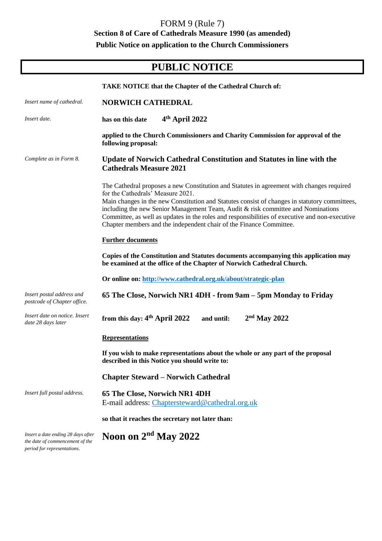## FORM 9 (Rule 7) **Section 8 of Care of Cathedrals Measure 1990 (as amended) Public Notice on application to the Church Commissioners**

## **PUBLIC NOTICE**

|                                                                                                      | <b>TAKE NOTICE that the Chapter of the Cathedral Church of:</b>                                                                                                                                                                                                                                                                                                                                                                                                                              |
|------------------------------------------------------------------------------------------------------|----------------------------------------------------------------------------------------------------------------------------------------------------------------------------------------------------------------------------------------------------------------------------------------------------------------------------------------------------------------------------------------------------------------------------------------------------------------------------------------------|
| Insert name of cathedral.                                                                            | <b>NORWICH CATHEDRAL</b>                                                                                                                                                                                                                                                                                                                                                                                                                                                                     |
| Insert date.                                                                                         | 4 <sup>th</sup> April 2022<br>has on this date                                                                                                                                                                                                                                                                                                                                                                                                                                               |
|                                                                                                      | applied to the Church Commissioners and Charity Commission for approval of the<br>following proposal:                                                                                                                                                                                                                                                                                                                                                                                        |
| Complete as in Form 8.                                                                               | <b>Update of Norwich Cathedral Constitution and Statutes in line with the</b><br><b>Cathedrals Measure 2021</b>                                                                                                                                                                                                                                                                                                                                                                              |
|                                                                                                      | The Cathedral proposes a new Constitution and Statutes in agreement with changes required<br>for the Cathedrals' Measure 2021.<br>Main changes in the new Constitution and Statutes consist of changes in statutory committees,<br>including the new Senior Management Team, Audit & risk committee and Nominations<br>Committee, as well as updates in the roles and responsibilities of executive and non-executive<br>Chapter members and the independent chair of the Finance Committee. |
|                                                                                                      | <b>Further documents</b>                                                                                                                                                                                                                                                                                                                                                                                                                                                                     |
|                                                                                                      | Copies of the Constitution and Statutes documents accompanying this application may<br>be examined at the office of the Chapter of Norwich Cathedral Church.                                                                                                                                                                                                                                                                                                                                 |
|                                                                                                      | Or online on: http://www.cathedral.org.uk/about/strategic-plan                                                                                                                                                                                                                                                                                                                                                                                                                               |
| Insert postal address and<br>postcode of Chapter office.                                             | 65 The Close, Norwich NR1 4DH - from 9am – 5pm Monday to Friday                                                                                                                                                                                                                                                                                                                                                                                                                              |
| Insert date on notice. Insert<br>date 28 days later                                                  | from this day: $4th$ April 2022<br>$2nd$ May 2022<br>and until:                                                                                                                                                                                                                                                                                                                                                                                                                              |
|                                                                                                      | <b>Representations</b>                                                                                                                                                                                                                                                                                                                                                                                                                                                                       |
|                                                                                                      | If you wish to make representations about the whole or any part of the proposal<br>described in this Notice you should write to:                                                                                                                                                                                                                                                                                                                                                             |
|                                                                                                      | <b>Chapter Steward – Norwich Cathedral</b>                                                                                                                                                                                                                                                                                                                                                                                                                                                   |
| Insert full postal address.                                                                          | 65 The Close, Norwich NR1 4DH<br>E-mail address: Chaptersteward@cathedral.org.uk                                                                                                                                                                                                                                                                                                                                                                                                             |
|                                                                                                      | so that it reaches the secretary not later than:                                                                                                                                                                                                                                                                                                                                                                                                                                             |
| Insert a date ending 28 days after<br>the date of commencement of the<br>period for representations. | Noon on $2nd$ May 2022                                                                                                                                                                                                                                                                                                                                                                                                                                                                       |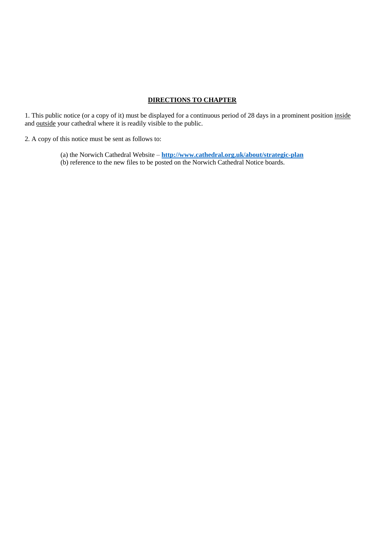## **DIRECTIONS TO CHAPTER**

1. This public notice (or a copy of it) must be displayed for a continuous period of 28 days in a prominent position inside and outside your cathedral where it is readily visible to the public.

2. A copy of this notice must be sent as follows to:

(a) the Norwich Cathedral Website – **<http://www.cathedral.org.uk/about/strategic-plan>** (b) reference to the new files to be posted on the Norwich Cathedral Notice boards.